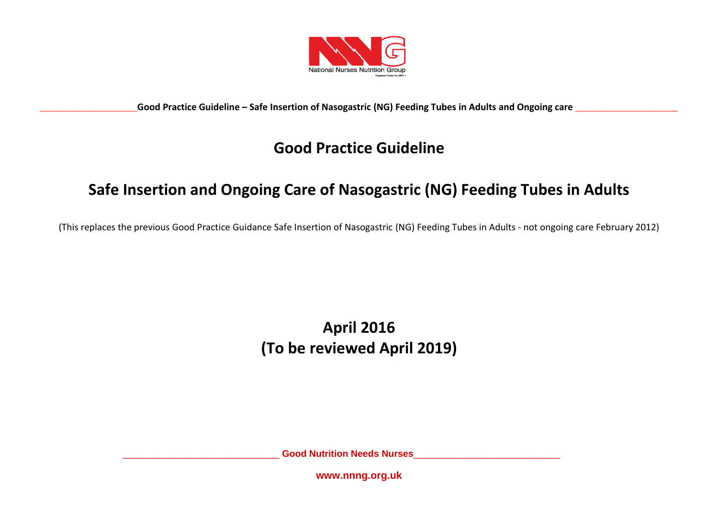

# **Good Practice Guideline**

# **Safe Insertion and Ongoing Care of Nasogastric (NG) Feeding Tubes in Adults**

(This replaces the previous Good Practice Guidance Safe Insertion of Nasogastric (NG) Feeding Tubes in Adults - not ongoing care February 2012)

# **April 2016 (To be reviewed April 2019)**

\_\_\_\_\_\_\_\_\_\_\_\_\_\_\_\_\_\_\_\_\_\_\_\_\_\_\_\_\_\_ **Good Nutrition Needs Nurses**\_\_\_\_\_\_\_\_\_\_\_\_\_\_\_\_\_\_\_\_\_\_\_\_\_\_\_\_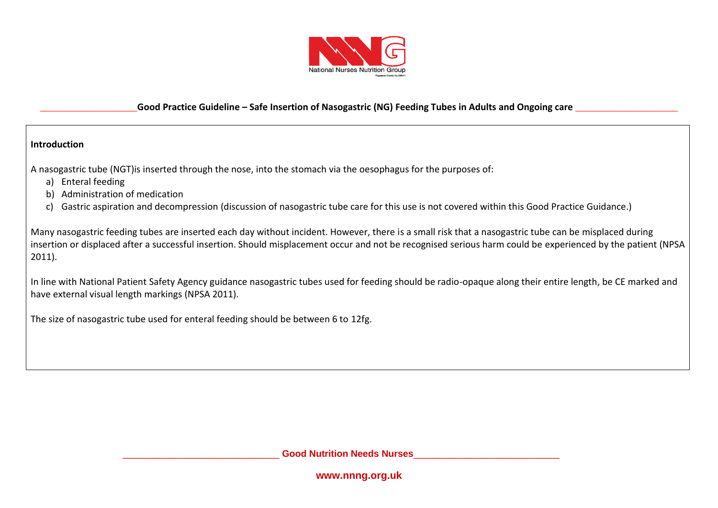

#### **Introduction**

A nasogastric tube (NGT)is inserted through the nose, into the stomach via the oesophagus for the purposes of:

- a) Enteral feeding
- b) Administration of medication
- c) Gastric aspiration and decompression (discussion of nasogastric tube care for this use is not covered within this Good Practice Guidance.)

Many nasogastric feeding tubes are inserted each day without incident. However, there is a small risk that a nasogastric tube can be misplaced during insertion or displaced after a successful insertion. Should misplacement occur and not be recognised serious harm could be experienced by the patient (NPSA 2011).

In line with National Patient Safety Agency guidance nasogastric tubes used for feeding should be radio-opaque along their entire length, be CE marked and have external visual length markings (NPSA 2011).

The size of nasogastric tube used for enteral feeding should be between 6 to 12fg.

\_\_\_\_\_\_\_\_\_\_\_\_\_\_\_\_\_\_\_\_\_\_\_\_\_\_\_\_\_\_ **Good Nutrition Needs Nurses**\_\_\_\_\_\_\_\_\_\_\_\_\_\_\_\_\_\_\_\_\_\_\_\_\_\_\_\_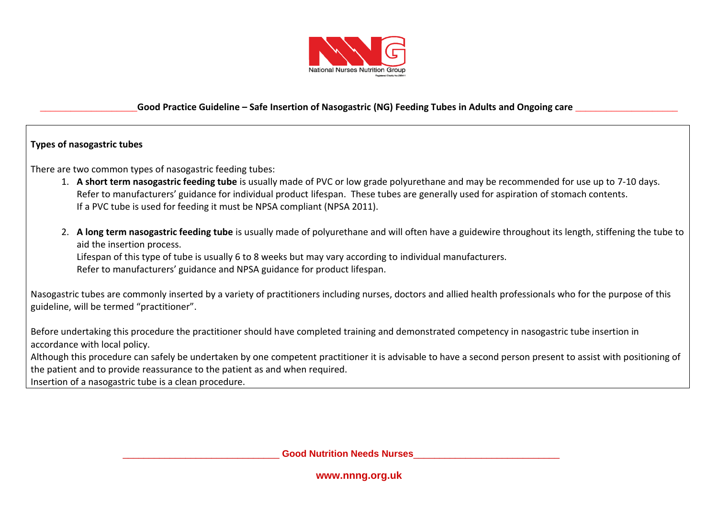

#### **Types of nasogastric tubes**

There are two common types of nasogastric feeding tubes:

- 1. **A short term nasogastric feeding tube** is usually made of PVC or low grade polyurethane and may be recommended for use up to 7-10 days. Refer to manufacturers' guidance for individual product lifespan. These tubes are generally used for aspiration of stomach contents. If a PVC tube is used for feeding it must be NPSA compliant (NPSA 2011).
- 2. **A long term nasogastric feeding tube** is usually made of polyurethane and will often have a guidewire throughout its length, stiffening the tube to aid the insertion process.

Lifespan of this type of tube is usually 6 to 8 weeks but may vary according to individual manufacturers. Refer to manufacturers' guidance and NPSA guidance for product lifespan.

Nasogastric tubes are commonly inserted by a variety of practitioners including nurses, doctors and allied health professionals who for the purpose of this guideline, will be termed "practitioner".

Before undertaking this procedure the practitioner should have completed training and demonstrated competency in nasogastric tube insertion in accordance with local policy.

Although this procedure can safely be undertaken by one competent practitioner it is advisable to have a second person present to assist with positioning of the patient and to provide reassurance to the patient as and when required.

Insertion of a nasogastric tube is a clean procedure.

\_\_\_\_\_\_\_\_\_\_\_\_\_\_\_\_\_\_\_\_\_\_\_\_\_\_\_\_\_\_ **Good Nutrition Needs Nurses**\_\_\_\_\_\_\_\_\_\_\_\_\_\_\_\_\_\_\_\_\_\_\_\_\_\_\_\_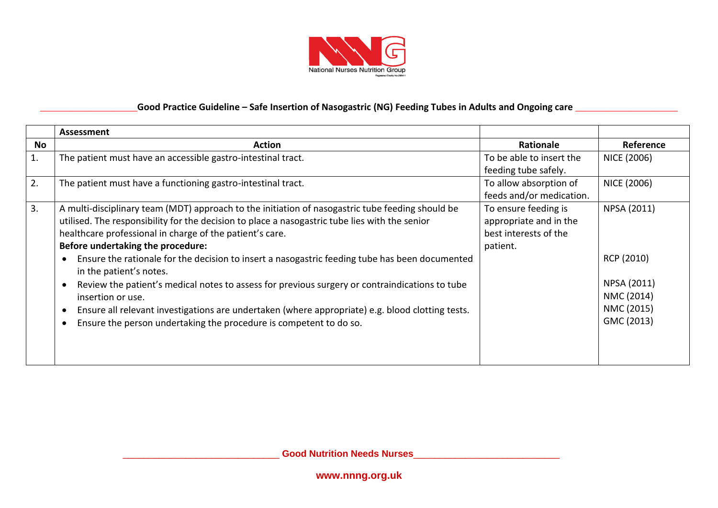

|    | <b>Assessment</b>                                                                                |                          |                    |
|----|--------------------------------------------------------------------------------------------------|--------------------------|--------------------|
| No | <b>Action</b>                                                                                    | Rationale                | Reference          |
| 1. | The patient must have an accessible gastro-intestinal tract.                                     | To be able to insert the | NICE (2006)        |
|    |                                                                                                  | feeding tube safely.     |                    |
| 2. | The patient must have a functioning gastro-intestinal tract.                                     | To allow absorption of   | <b>NICE (2006)</b> |
|    |                                                                                                  | feeds and/or medication. |                    |
| 3. | A multi-disciplinary team (MDT) approach to the initiation of nasogastric tube feeding should be | To ensure feeding is     | NPSA (2011)        |
|    | utilised. The responsibility for the decision to place a nasogastric tube lies with the senior   | appropriate and in the   |                    |
|    | healthcare professional in charge of the patient's care.                                         | best interests of the    |                    |
|    | Before undertaking the procedure:                                                                | patient.                 |                    |
|    | Ensure the rationale for the decision to insert a nasogastric feeding tube has been documented   |                          | RCP (2010)         |
|    | in the patient's notes.                                                                          |                          |                    |
|    | Review the patient's medical notes to assess for previous surgery or contraindications to tube   |                          | NPSA (2011)        |
|    | insertion or use.                                                                                |                          | NMC (2014)         |
|    | Ensure all relevant investigations are undertaken (where appropriate) e.g. blood clotting tests. |                          | NMC (2015)         |
|    | Ensure the person undertaking the procedure is competent to do so.                               |                          | GMC (2013)         |
|    |                                                                                                  |                          |                    |
|    |                                                                                                  |                          |                    |
|    |                                                                                                  |                          |                    |

\_\_\_\_\_\_\_\_\_\_\_\_\_\_\_\_\_\_\_\_\_\_\_\_\_\_\_\_\_\_ **Good Nutrition Needs Nurses**\_\_\_\_\_\_\_\_\_\_\_\_\_\_\_\_\_\_\_\_\_\_\_\_\_\_\_\_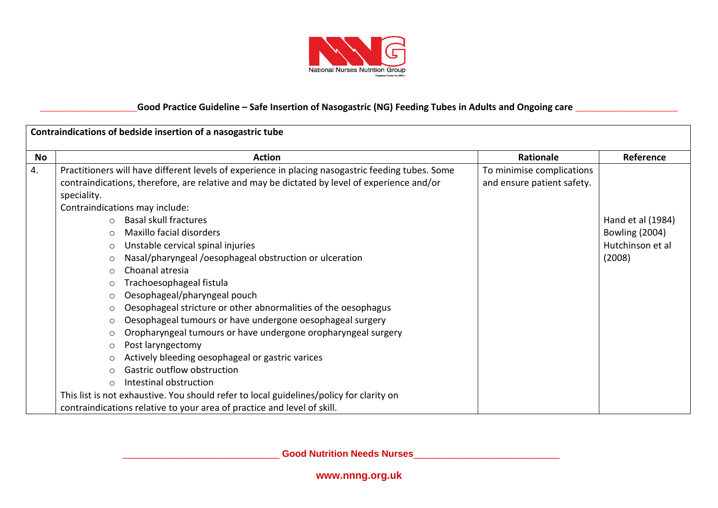

|    | Contraindications of bedside insertion of a nasogastric tube                                                                                                                                                                                                                                                                                                                                                                                                                                                                                                                                                                                                                                                                                                                                                                                                                                          |                                                         |                                                                          |  |  |
|----|-------------------------------------------------------------------------------------------------------------------------------------------------------------------------------------------------------------------------------------------------------------------------------------------------------------------------------------------------------------------------------------------------------------------------------------------------------------------------------------------------------------------------------------------------------------------------------------------------------------------------------------------------------------------------------------------------------------------------------------------------------------------------------------------------------------------------------------------------------------------------------------------------------|---------------------------------------------------------|--------------------------------------------------------------------------|--|--|
| No | <b>Action</b>                                                                                                                                                                                                                                                                                                                                                                                                                                                                                                                                                                                                                                                                                                                                                                                                                                                                                         | <b>Rationale</b>                                        | Reference                                                                |  |  |
| 4. | Practitioners will have different levels of experience in placing nasogastric feeding tubes. Some<br>contraindications, therefore, are relative and may be dictated by level of experience and/or<br>speciality.                                                                                                                                                                                                                                                                                                                                                                                                                                                                                                                                                                                                                                                                                      | To minimise complications<br>and ensure patient safety. |                                                                          |  |  |
|    | Contraindications may include:<br><b>Basal skull fractures</b><br>$\circ$<br>Maxillo facial disorders<br>$\circ$<br>Unstable cervical spinal injuries<br>$\circ$<br>Nasal/pharyngeal/oesophageal obstruction or ulceration<br>$\circ$<br>Choanal atresia<br>$\bigcirc$<br>Trachoesophageal fistula<br>O<br>Oesophageal/pharyngeal pouch<br>O<br>Oesophageal stricture or other abnormalities of the oesophagus<br>O<br>Oesophageal tumours or have undergone oesophageal surgery<br>$\circ$<br>Oropharyngeal tumours or have undergone oropharyngeal surgery<br>O<br>Post laryngectomy<br>O<br>Actively bleeding oesophageal or gastric varices<br>$\circ$<br>Gastric outflow obstruction<br>Intestinal obstruction<br>$\Omega$<br>This list is not exhaustive. You should refer to local guidelines/policy for clarity on<br>contraindications relative to your area of practice and level of skill. |                                                         | Hand et al (1984)<br><b>Bowling (2004)</b><br>Hutchinson et al<br>(2008) |  |  |

\_\_\_\_\_\_\_\_\_\_\_\_\_\_\_\_\_\_\_\_\_\_\_\_\_\_\_\_\_\_ **Good Nutrition Needs Nurses**\_\_\_\_\_\_\_\_\_\_\_\_\_\_\_\_\_\_\_\_\_\_\_\_\_\_\_\_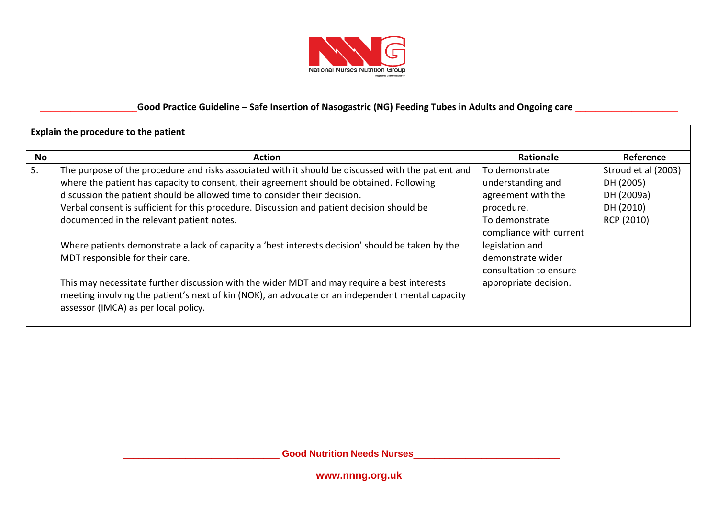

|    | Explain the procedure to the patient                                                                                                                                                                                                                                                                                                                                                                                                                                                                                                                                                                                                                                                                                                                                                                     |                                                                                                                                                                                                                 |                                                                           |  |
|----|----------------------------------------------------------------------------------------------------------------------------------------------------------------------------------------------------------------------------------------------------------------------------------------------------------------------------------------------------------------------------------------------------------------------------------------------------------------------------------------------------------------------------------------------------------------------------------------------------------------------------------------------------------------------------------------------------------------------------------------------------------------------------------------------------------|-----------------------------------------------------------------------------------------------------------------------------------------------------------------------------------------------------------------|---------------------------------------------------------------------------|--|
| No | <b>Action</b>                                                                                                                                                                                                                                                                                                                                                                                                                                                                                                                                                                                                                                                                                                                                                                                            | Rationale                                                                                                                                                                                                       | Reference                                                                 |  |
| 5. | The purpose of the procedure and risks associated with it should be discussed with the patient and<br>where the patient has capacity to consent, their agreement should be obtained. Following<br>discussion the patient should be allowed time to consider their decision.<br>Verbal consent is sufficient for this procedure. Discussion and patient decision should be<br>documented in the relevant patient notes.<br>Where patients demonstrate a lack of capacity a 'best interests decision' should be taken by the<br>MDT responsible for their care.<br>This may necessitate further discussion with the wider MDT and may require a best interests<br>meeting involving the patient's next of kin (NOK), an advocate or an independent mental capacity<br>assessor (IMCA) as per local policy. | To demonstrate<br>understanding and<br>agreement with the<br>procedure.<br>To demonstrate<br>compliance with current<br>legislation and<br>demonstrate wider<br>consultation to ensure<br>appropriate decision. | Stroud et al (2003)<br>DH (2005)<br>DH (2009a)<br>DH (2010)<br>RCP (2010) |  |

\_\_\_\_\_\_\_\_\_\_\_\_\_\_\_\_\_\_\_\_\_\_\_\_\_\_\_\_\_\_ **Good Nutrition Needs Nurses**\_\_\_\_\_\_\_\_\_\_\_\_\_\_\_\_\_\_\_\_\_\_\_\_\_\_\_\_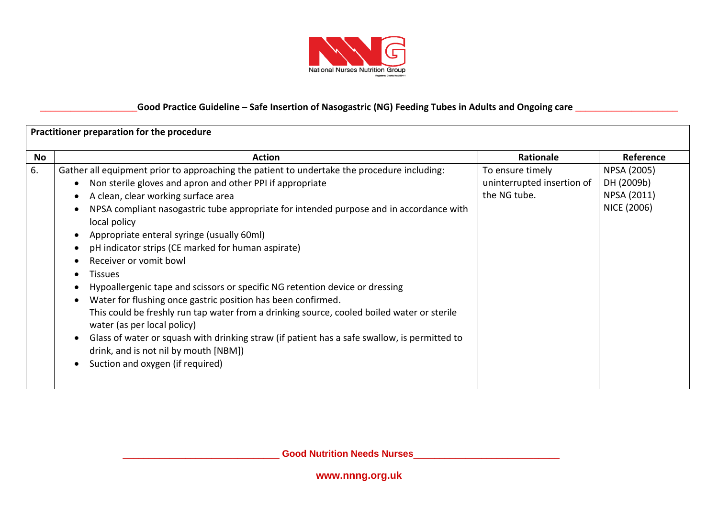

| Practitioner preparation for the procedure |                                                                                                                                                                                                                                                                                                                                                                                                                                                                                                                                                                                                                                                                                                                                                                                                                                                                                                                                                                          |                                                                |                                                         |
|--------------------------------------------|--------------------------------------------------------------------------------------------------------------------------------------------------------------------------------------------------------------------------------------------------------------------------------------------------------------------------------------------------------------------------------------------------------------------------------------------------------------------------------------------------------------------------------------------------------------------------------------------------------------------------------------------------------------------------------------------------------------------------------------------------------------------------------------------------------------------------------------------------------------------------------------------------------------------------------------------------------------------------|----------------------------------------------------------------|---------------------------------------------------------|
| No                                         | <b>Action</b>                                                                                                                                                                                                                                                                                                                                                                                                                                                                                                                                                                                                                                                                                                                                                                                                                                                                                                                                                            | Rationale                                                      | Reference                                               |
| 6.                                         | Gather all equipment prior to approaching the patient to undertake the procedure including:<br>Non sterile gloves and apron and other PPI if appropriate<br>$\bullet$<br>A clean, clear working surface area<br>$\bullet$<br>NPSA compliant nasogastric tube appropriate for intended purpose and in accordance with<br>local policy<br>Appropriate enteral syringe (usually 60ml)<br>pH indicator strips (CE marked for human aspirate)<br>Receiver or vomit bowl<br>$\bullet$<br><b>Tissues</b><br>$\bullet$<br>Hypoallergenic tape and scissors or specific NG retention device or dressing<br>Water for flushing once gastric position has been confirmed.<br>This could be freshly run tap water from a drinking source, cooled boiled water or sterile<br>water (as per local policy)<br>Glass of water or squash with drinking straw (if patient has a safe swallow, is permitted to<br>drink, and is not nil by mouth [NBM])<br>Suction and oxygen (if required) | To ensure timely<br>uninterrupted insertion of<br>the NG tube. | NPSA (2005)<br>DH (2009b)<br>NPSA (2011)<br>NICE (2006) |

\_\_\_\_\_\_\_\_\_\_\_\_\_\_\_\_\_\_\_\_\_\_\_\_\_\_\_\_\_\_ **Good Nutrition Needs Nurses**\_\_\_\_\_\_\_\_\_\_\_\_\_\_\_\_\_\_\_\_\_\_\_\_\_\_\_\_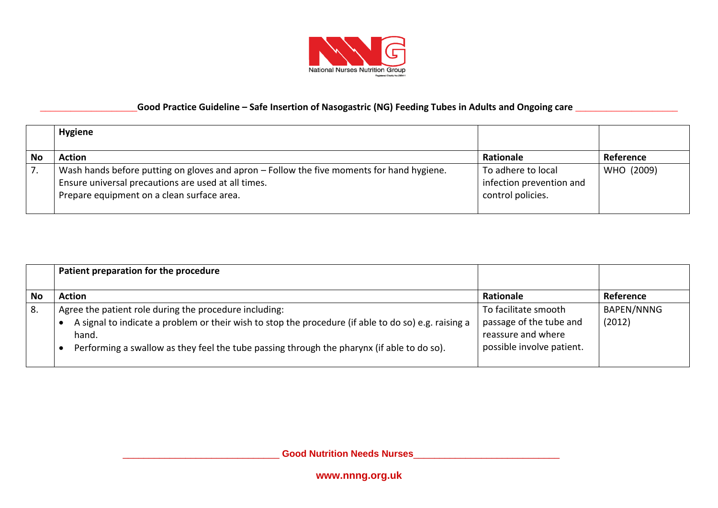

|    | <b>Hygiene</b>                                                                                                                                                                                 |                                                                     |            |
|----|------------------------------------------------------------------------------------------------------------------------------------------------------------------------------------------------|---------------------------------------------------------------------|------------|
| No | <b>Action</b>                                                                                                                                                                                  | Rationale                                                           | Reference  |
|    | Wash hands before putting on gloves and apron - Follow the five moments for hand hygiene.<br>Ensure universal precautions are used at all times.<br>Prepare equipment on a clean surface area. | To adhere to local<br>infection prevention and<br>control policies. | WHO (2009) |

|           | Patient preparation for the procedure                                                                                                                                                                                                                                 |                                                                                                    |                             |
|-----------|-----------------------------------------------------------------------------------------------------------------------------------------------------------------------------------------------------------------------------------------------------------------------|----------------------------------------------------------------------------------------------------|-----------------------------|
| <b>No</b> | <b>Action</b>                                                                                                                                                                                                                                                         | Rationale                                                                                          | Reference                   |
| 8.        | Agree the patient role during the procedure including:<br>A signal to indicate a problem or their wish to stop the procedure (if able to do so) e.g. raising a<br>hand.<br>Performing a swallow as they feel the tube passing through the pharynx (if able to do so). | To facilitate smooth<br>passage of the tube and<br>reassure and where<br>possible involve patient. | <b>BAPEN/NNNG</b><br>(2012) |

\_\_\_\_\_\_\_\_\_\_\_\_\_\_\_\_\_\_\_\_\_\_\_\_\_\_\_\_\_\_ **Good Nutrition Needs Nurses**\_\_\_\_\_\_\_\_\_\_\_\_\_\_\_\_\_\_\_\_\_\_\_\_\_\_\_\_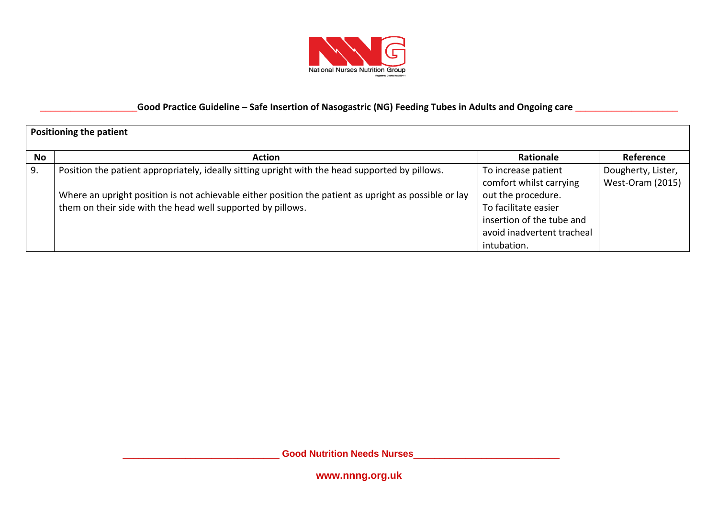

|    | <b>Positioning the patient</b>                                                                                                                                       |                                                                                                                      |                                        |  |
|----|----------------------------------------------------------------------------------------------------------------------------------------------------------------------|----------------------------------------------------------------------------------------------------------------------|----------------------------------------|--|
| No | <b>Action</b>                                                                                                                                                        | <b>Rationale</b>                                                                                                     | Reference                              |  |
| 9. | Position the patient appropriately, ideally sitting upright with the head supported by pillows.                                                                      | To increase patient<br>comfort whilst carrying                                                                       | Dougherty, Lister,<br>West-Oram (2015) |  |
|    | Where an upright position is not achievable either position the patient as upright as possible or lay<br>them on their side with the head well supported by pillows. | out the procedure.<br>To facilitate easier<br>insertion of the tube and<br>avoid inadvertent tracheal<br>intubation. |                                        |  |

\_\_\_\_\_\_\_\_\_\_\_\_\_\_\_\_\_\_\_\_\_\_\_\_\_\_\_\_\_\_ **Good Nutrition Needs Nurses**\_\_\_\_\_\_\_\_\_\_\_\_\_\_\_\_\_\_\_\_\_\_\_\_\_\_\_\_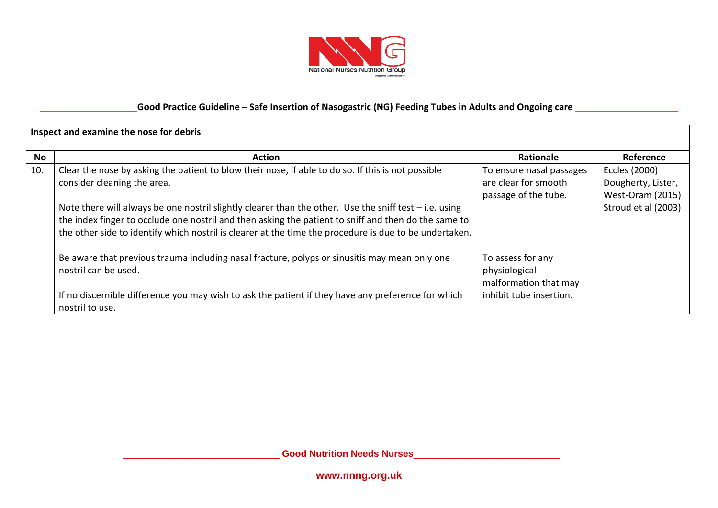

|     | Inspect and examine the nose for debris                                                                                                                                                                                                                                                                                  |                                                             |                         |  |
|-----|--------------------------------------------------------------------------------------------------------------------------------------------------------------------------------------------------------------------------------------------------------------------------------------------------------------------------|-------------------------------------------------------------|-------------------------|--|
| No  | <b>Action</b>                                                                                                                                                                                                                                                                                                            | Rationale                                                   | Reference               |  |
| 10. | Clear the nose by asking the patient to blow their nose, if able to do so. If this is not possible                                                                                                                                                                                                                       | To ensure nasal passages                                    | Eccles (2000)           |  |
|     | consider cleaning the area.                                                                                                                                                                                                                                                                                              | are clear for smooth                                        | Dougherty, Lister,      |  |
|     |                                                                                                                                                                                                                                                                                                                          | passage of the tube.                                        | <b>West-Oram (2015)</b> |  |
|     | Note there will always be one nostril slightly clearer than the other. Use the sniff test – i.e. using<br>the index finger to occlude one nostril and then asking the patient to sniff and then do the same to<br>the other side to identify which nostril is clearer at the time the procedure is due to be undertaken. |                                                             | Stroud et al (2003)     |  |
|     | Be aware that previous trauma including nasal fracture, polyps or sinusitis may mean only one<br>nostril can be used.                                                                                                                                                                                                    | To assess for any<br>physiological<br>malformation that may |                         |  |
|     | If no discernible difference you may wish to ask the patient if they have any preference for which<br>nostril to use.                                                                                                                                                                                                    | inhibit tube insertion.                                     |                         |  |

\_\_\_\_\_\_\_\_\_\_\_\_\_\_\_\_\_\_\_\_\_\_\_\_\_\_\_\_\_\_ **Good Nutrition Needs Nurses**\_\_\_\_\_\_\_\_\_\_\_\_\_\_\_\_\_\_\_\_\_\_\_\_\_\_\_\_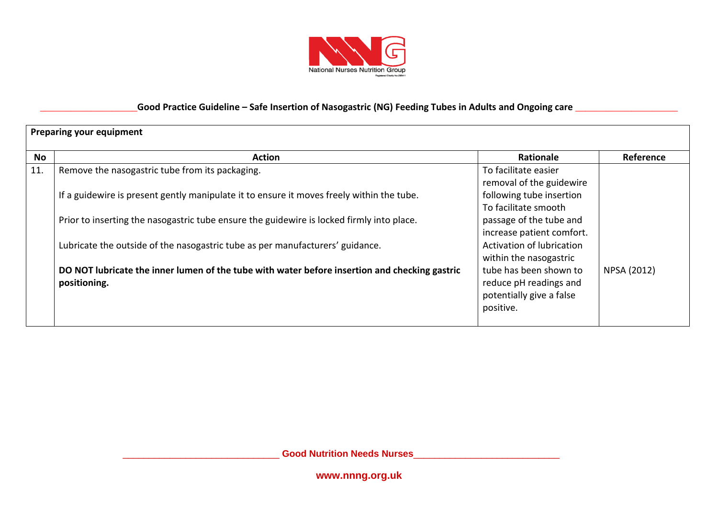

|     | <b>Preparing your equipment</b>                                                                               |                                                                                           |             |  |
|-----|---------------------------------------------------------------------------------------------------------------|-------------------------------------------------------------------------------------------|-------------|--|
| No  | <b>Action</b>                                                                                                 | <b>Rationale</b>                                                                          | Reference   |  |
| 11. | Remove the nasogastric tube from its packaging.                                                               | To facilitate easier<br>removal of the guidewire                                          |             |  |
|     | If a guidewire is present gently manipulate it to ensure it moves freely within the tube.                     | following tube insertion<br>To facilitate smooth                                          |             |  |
|     | Prior to inserting the nasogastric tube ensure the guidewire is locked firmly into place.                     | passage of the tube and<br>increase patient comfort.                                      |             |  |
|     | Lubricate the outside of the nasogastric tube as per manufacturers' guidance.                                 | Activation of lubrication<br>within the nasogastric                                       |             |  |
|     | DO NOT lubricate the inner lumen of the tube with water before insertion and checking gastric<br>positioning. | tube has been shown to<br>reduce pH readings and<br>potentially give a false<br>positive. | NPSA (2012) |  |

\_\_\_\_\_\_\_\_\_\_\_\_\_\_\_\_\_\_\_\_\_\_\_\_\_\_\_\_\_\_ **Good Nutrition Needs Nurses**\_\_\_\_\_\_\_\_\_\_\_\_\_\_\_\_\_\_\_\_\_\_\_\_\_\_\_\_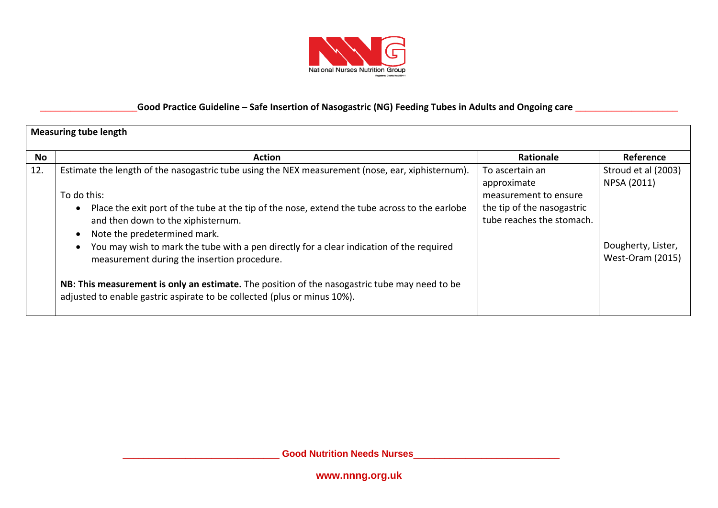

|     | <b>Measuring tube length</b>                                                                                                                                                                                                                                                                                                                                                                                                                                                                                                       |                                                         |                                               |  |
|-----|------------------------------------------------------------------------------------------------------------------------------------------------------------------------------------------------------------------------------------------------------------------------------------------------------------------------------------------------------------------------------------------------------------------------------------------------------------------------------------------------------------------------------------|---------------------------------------------------------|-----------------------------------------------|--|
| No  | <b>Action</b>                                                                                                                                                                                                                                                                                                                                                                                                                                                                                                                      | Rationale                                               | Reference                                     |  |
| 12. | Estimate the length of the nasogastric tube using the NEX measurement (nose, ear, xiphisternum).<br>To do this:                                                                                                                                                                                                                                                                                                                                                                                                                    | To ascertain an<br>approximate<br>measurement to ensure | Stroud et al (2003)<br>NPSA (2011)            |  |
|     | Place the exit port of the tube at the tip of the nose, extend the tube across to the earlobe<br>$\bullet$<br>and then down to the xiphisternum.<br>Note the predetermined mark.<br>$\bullet$<br>You may wish to mark the tube with a pen directly for a clear indication of the required<br>$\bullet$<br>measurement during the insertion procedure.<br>NB: This measurement is only an estimate. The position of the nasogastric tube may need to be<br>adjusted to enable gastric aspirate to be collected (plus or minus 10%). | the tip of the nasogastric<br>tube reaches the stomach. | Dougherty, Lister,<br><b>West-Oram (2015)</b> |  |

\_\_\_\_\_\_\_\_\_\_\_\_\_\_\_\_\_\_\_\_\_\_\_\_\_\_\_\_\_\_ **Good Nutrition Needs Nurses**\_\_\_\_\_\_\_\_\_\_\_\_\_\_\_\_\_\_\_\_\_\_\_\_\_\_\_\_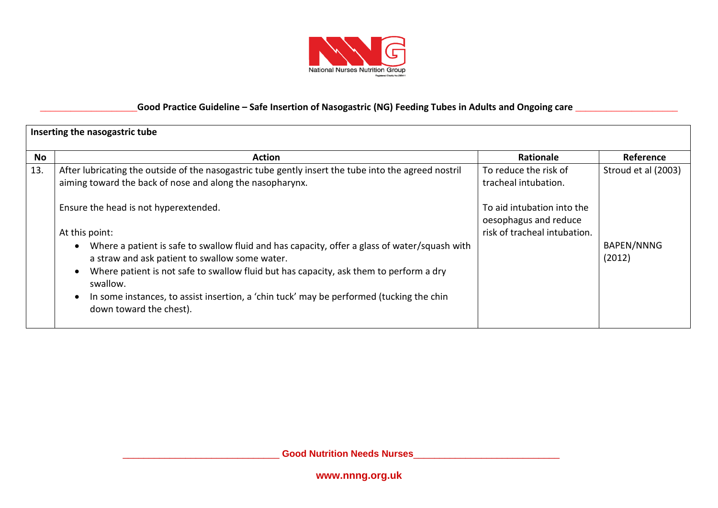

|     | Inserting the nasogastric tube                                                                                                                                                                                                                                                                                                                                                                                                                                                                                                                                                                                                         |                                                                                                                                      |                                                    |  |
|-----|----------------------------------------------------------------------------------------------------------------------------------------------------------------------------------------------------------------------------------------------------------------------------------------------------------------------------------------------------------------------------------------------------------------------------------------------------------------------------------------------------------------------------------------------------------------------------------------------------------------------------------------|--------------------------------------------------------------------------------------------------------------------------------------|----------------------------------------------------|--|
| No  | <b>Action</b>                                                                                                                                                                                                                                                                                                                                                                                                                                                                                                                                                                                                                          | <b>Rationale</b>                                                                                                                     | Reference                                          |  |
| 13. | After lubricating the outside of the nasogastric tube gently insert the tube into the agreed nostril<br>aiming toward the back of nose and along the nasopharynx.<br>Ensure the head is not hyperextended.<br>At this point:<br>Where a patient is safe to swallow fluid and has capacity, offer a glass of water/squash with<br>$\bullet$<br>a straw and ask patient to swallow some water.<br>Where patient is not safe to swallow fluid but has capacity, ask them to perform a dry<br>$\bullet$<br>swallow.<br>In some instances, to assist insertion, a 'chin tuck' may be performed (tucking the chin<br>down toward the chest). | To reduce the risk of<br>tracheal intubation.<br>To aid intubation into the<br>oesophagus and reduce<br>risk of tracheal intubation. | Stroud et al (2003)<br><b>BAPEN/NNNG</b><br>(2012) |  |

\_\_\_\_\_\_\_\_\_\_\_\_\_\_\_\_\_\_\_\_\_\_\_\_\_\_\_\_\_\_ **Good Nutrition Needs Nurses**\_\_\_\_\_\_\_\_\_\_\_\_\_\_\_\_\_\_\_\_\_\_\_\_\_\_\_\_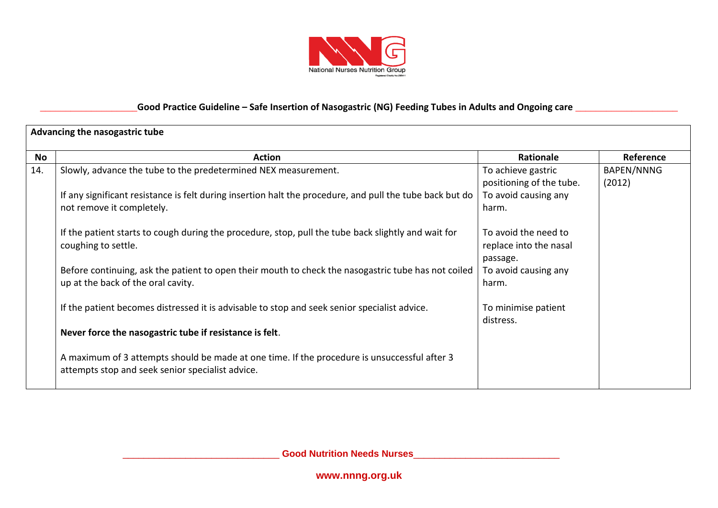

|     | Advancing the nasogastric tube                                                                                                                   |                                                            |                      |  |
|-----|--------------------------------------------------------------------------------------------------------------------------------------------------|------------------------------------------------------------|----------------------|--|
| No  | <b>Action</b>                                                                                                                                    | Rationale                                                  | Reference            |  |
| 14. | Slowly, advance the tube to the predetermined NEX measurement.                                                                                   | To achieve gastric<br>positioning of the tube.             | BAPEN/NNNG<br>(2012) |  |
|     | If any significant resistance is felt during insertion halt the procedure, and pull the tube back but do<br>not remove it completely.            | To avoid causing any<br>harm.                              |                      |  |
|     | If the patient starts to cough during the procedure, stop, pull the tube back slightly and wait for<br>coughing to settle.                       | To avoid the need to<br>replace into the nasal<br>passage. |                      |  |
|     | Before continuing, ask the patient to open their mouth to check the nasogastric tube has not coiled<br>up at the back of the oral cavity.        | To avoid causing any<br>harm.                              |                      |  |
|     | If the patient becomes distressed it is advisable to stop and seek senior specialist advice.                                                     | To minimise patient<br>distress.                           |                      |  |
|     | Never force the nasogastric tube if resistance is felt.                                                                                          |                                                            |                      |  |
|     | A maximum of 3 attempts should be made at one time. If the procedure is unsuccessful after 3<br>attempts stop and seek senior specialist advice. |                                                            |                      |  |

\_\_\_\_\_\_\_\_\_\_\_\_\_\_\_\_\_\_\_\_\_\_\_\_\_\_\_\_\_\_ **Good Nutrition Needs Nurses**\_\_\_\_\_\_\_\_\_\_\_\_\_\_\_\_\_\_\_\_\_\_\_\_\_\_\_\_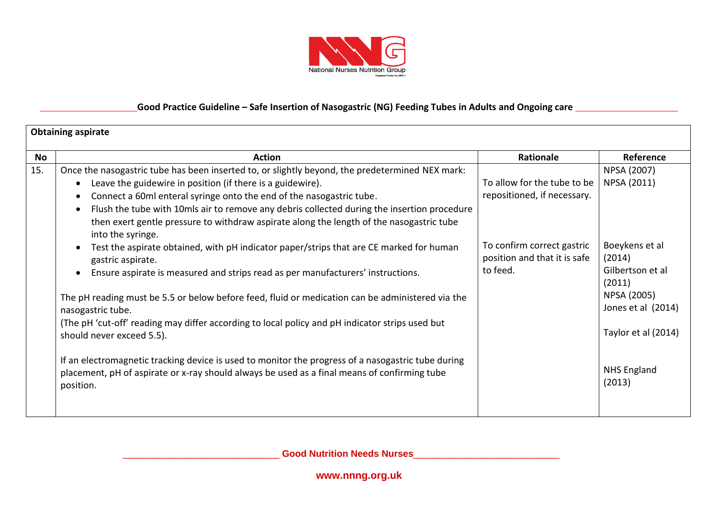

|     | <b>Obtaining aspirate</b>                                                                                                                                                                                                                                                                                                                                                                                                                                                                                                                                                                                    |                                                                                                                          |                                                                                                                        |  |  |
|-----|--------------------------------------------------------------------------------------------------------------------------------------------------------------------------------------------------------------------------------------------------------------------------------------------------------------------------------------------------------------------------------------------------------------------------------------------------------------------------------------------------------------------------------------------------------------------------------------------------------------|--------------------------------------------------------------------------------------------------------------------------|------------------------------------------------------------------------------------------------------------------------|--|--|
| No  | <b>Action</b>                                                                                                                                                                                                                                                                                                                                                                                                                                                                                                                                                                                                | Rationale                                                                                                                | Reference                                                                                                              |  |  |
| 15. | Once the nasogastric tube has been inserted to, or slightly beyond, the predetermined NEX mark:<br>Leave the guidewire in position (if there is a guidewire).<br>$\bullet$<br>Connect a 60ml enteral syringe onto the end of the nasogastric tube.<br>$\bullet$<br>Flush the tube with 10mls air to remove any debris collected during the insertion procedure<br>$\bullet$<br>then exert gentle pressure to withdraw aspirate along the length of the nasogastric tube<br>into the syringe.<br>Test the aspirate obtained, with pH indicator paper/strips that are CE marked for human<br>gastric aspirate. | To allow for the tube to be<br>repositioned, if necessary.<br>To confirm correct gastric<br>position and that it is safe | NPSA (2007)<br>NPSA (2011)<br>Boeykens et al<br>(2014)                                                                 |  |  |
|     | Ensure aspirate is measured and strips read as per manufacturers' instructions.<br>The pH reading must be 5.5 or below before feed, fluid or medication can be administered via the<br>nasogastric tube.<br>(The pH 'cut-off' reading may differ according to local policy and pH indicator strips used but<br>should never exceed 5.5).<br>If an electromagnetic tracking device is used to monitor the progress of a nasogastric tube during<br>placement, pH of aspirate or x-ray should always be used as a final means of confirming tube<br>position.                                                  | to feed.                                                                                                                 | Gilbertson et al<br>(2011)<br>NPSA (2005)<br>Jones et al (2014)<br>Taylor et al (2014)<br><b>NHS England</b><br>(2013) |  |  |

\_\_\_\_\_\_\_\_\_\_\_\_\_\_\_\_\_\_\_\_\_\_\_\_\_\_\_\_\_\_ **Good Nutrition Needs Nurses**\_\_\_\_\_\_\_\_\_\_\_\_\_\_\_\_\_\_\_\_\_\_\_\_\_\_\_\_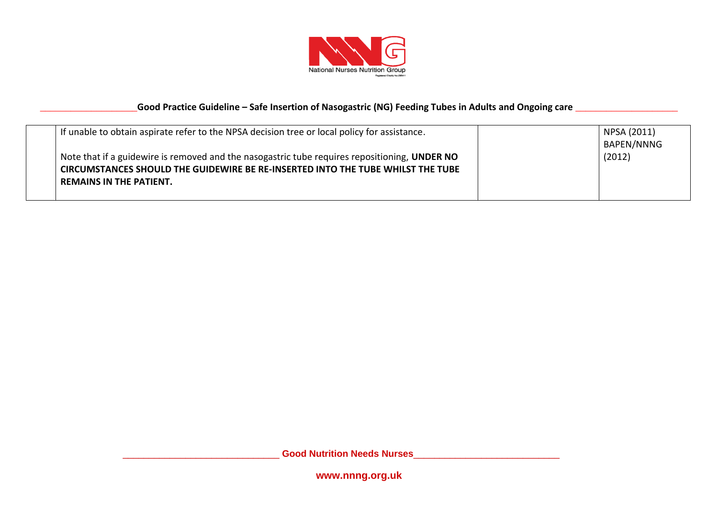

| If unable to obtain aspirate refer to the NPSA decision tree or local policy for assistance.                                                                                                                       | NPSA (2011)<br>BAPEN/NNNG |
|--------------------------------------------------------------------------------------------------------------------------------------------------------------------------------------------------------------------|---------------------------|
| Note that if a guidewire is removed and the nasogastric tube requires repositioning, UNDER NO<br>CIRCUMSTANCES SHOULD THE GUIDEWIRE BE RE-INSERTED INTO THE TUBE WHILST THE TUBE<br><b>REMAINS IN THE PATIENT.</b> | (2012)                    |

\_\_\_\_\_\_\_\_\_\_\_\_\_\_\_\_\_\_\_\_\_\_\_\_\_\_\_\_\_\_ **Good Nutrition Needs Nurses**\_\_\_\_\_\_\_\_\_\_\_\_\_\_\_\_\_\_\_\_\_\_\_\_\_\_\_\_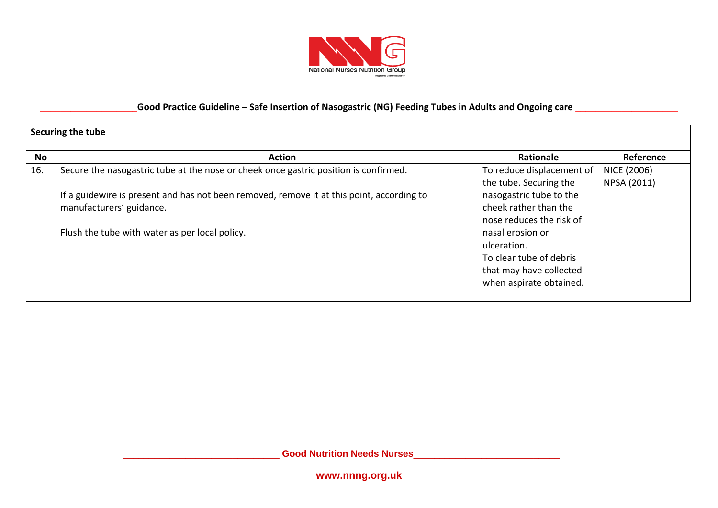

|           | Securing the tube                                                                         |                           |             |  |  |
|-----------|-------------------------------------------------------------------------------------------|---------------------------|-------------|--|--|
| <b>No</b> | <b>Action</b>                                                                             | Rationale                 | Reference   |  |  |
| 16.       | Secure the nasogastric tube at the nose or cheek once gastric position is confirmed.      | To reduce displacement of | NICE (2006) |  |  |
|           |                                                                                           | the tube. Securing the    | NPSA (2011) |  |  |
|           | If a guidewire is present and has not been removed, remove it at this point, according to | nasogastric tube to the   |             |  |  |
|           | manufacturers' guidance.                                                                  | cheek rather than the     |             |  |  |
|           |                                                                                           | nose reduces the risk of  |             |  |  |
|           | Flush the tube with water as per local policy.                                            | nasal erosion or          |             |  |  |
|           |                                                                                           | ulceration.               |             |  |  |
|           |                                                                                           | To clear tube of debris   |             |  |  |
|           |                                                                                           | that may have collected   |             |  |  |
|           |                                                                                           | when aspirate obtained.   |             |  |  |
|           |                                                                                           |                           |             |  |  |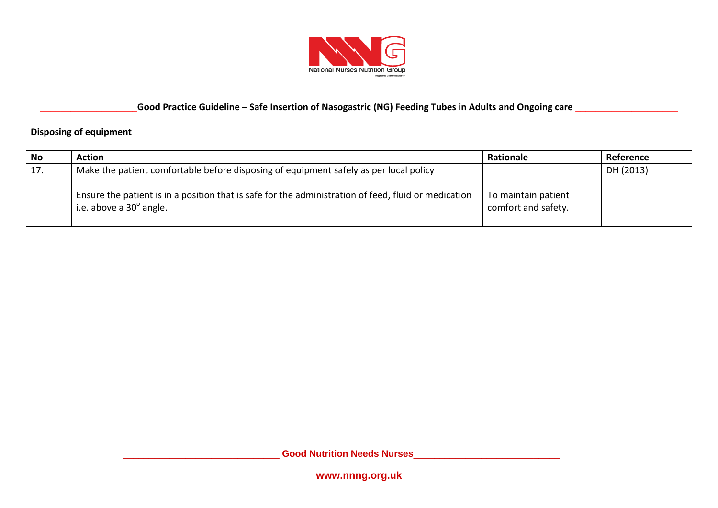

| <b>Disposing of equipment</b> |                                                                                                                                 |                                            |           |  |
|-------------------------------|---------------------------------------------------------------------------------------------------------------------------------|--------------------------------------------|-----------|--|
| <b>No</b>                     | <b>Action</b>                                                                                                                   | Rationale                                  | Reference |  |
| 17.                           | Make the patient comfortable before disposing of equipment safely as per local policy                                           |                                            | DH (2013) |  |
|                               | Ensure the patient is in a position that is safe for the administration of feed, fluid or medication<br>i.e. above a 30° angle. | To maintain patient<br>comfort and safety. |           |  |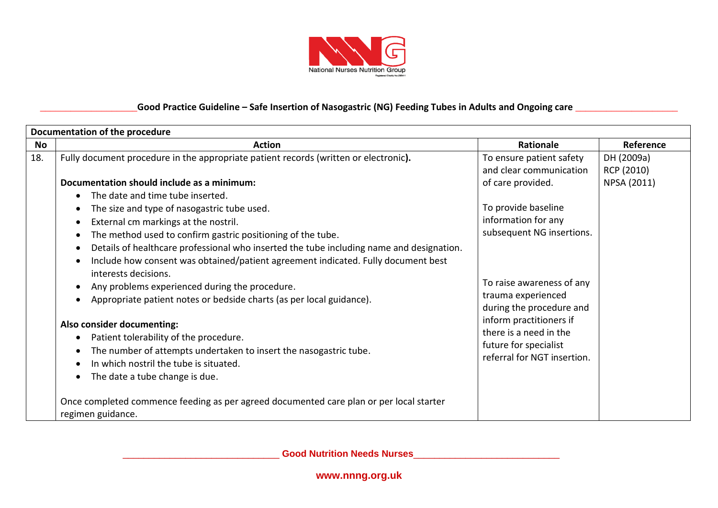

|     | Documentation of the procedure                                                                                                                                                                                                                                                                                                                                                                                                                                                             |                                                                                                                                 |                                         |  |  |
|-----|--------------------------------------------------------------------------------------------------------------------------------------------------------------------------------------------------------------------------------------------------------------------------------------------------------------------------------------------------------------------------------------------------------------------------------------------------------------------------------------------|---------------------------------------------------------------------------------------------------------------------------------|-----------------------------------------|--|--|
| No  | <b>Action</b>                                                                                                                                                                                                                                                                                                                                                                                                                                                                              | <b>Rationale</b>                                                                                                                | Reference                               |  |  |
| 18. | Fully document procedure in the appropriate patient records (written or electronic).<br>Documentation should include as a minimum:<br>The date and time tube inserted.<br>$\bullet$<br>The size and type of nasogastric tube used.                                                                                                                                                                                                                                                         | To ensure patient safety<br>and clear communication<br>of care provided.<br>To provide baseline                                 | DH (2009a)<br>RCP (2010)<br>NPSA (2011) |  |  |
|     | External cm markings at the nostril.<br>$\bullet$<br>The method used to confirm gastric positioning of the tube.<br>$\bullet$<br>Details of healthcare professional who inserted the tube including name and designation.<br>$\bullet$<br>Include how consent was obtained/patient agreement indicated. Fully document best<br>interests decisions.<br>Any problems experienced during the procedure.<br>Appropriate patient notes or bedside charts (as per local guidance).<br>$\bullet$ | information for any<br>subsequent NG insertions.<br>To raise awareness of any<br>trauma experienced<br>during the procedure and |                                         |  |  |
|     | Also consider documenting:<br>Patient tolerability of the procedure.<br>The number of attempts undertaken to insert the nasogastric tube.<br>In which nostril the tube is situated.<br>The date a tube change is due.<br>Once completed commence feeding as per agreed documented care plan or per local starter<br>regimen guidance.                                                                                                                                                      | inform practitioners if<br>there is a need in the<br>future for specialist<br>referral for NGT insertion.                       |                                         |  |  |

\_\_\_\_\_\_\_\_\_\_\_\_\_\_\_\_\_\_\_\_\_\_\_\_\_\_\_\_\_\_ **Good Nutrition Needs Nurses**\_\_\_\_\_\_\_\_\_\_\_\_\_\_\_\_\_\_\_\_\_\_\_\_\_\_\_\_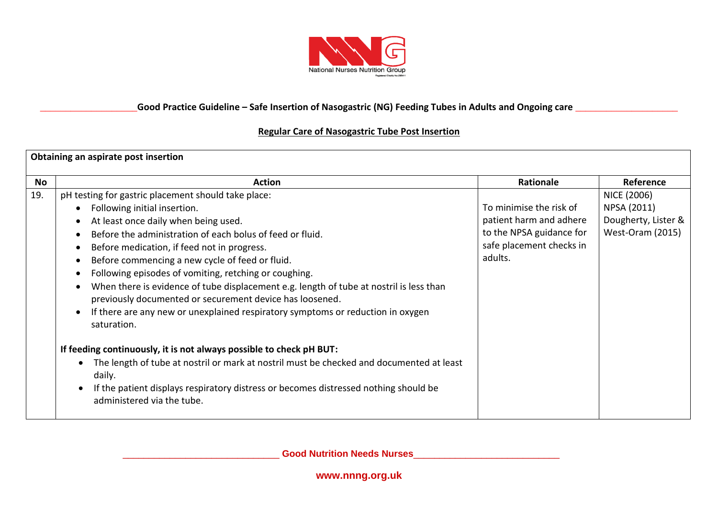

#### **Regular Care of Nasogastric Tube Post Insertion**

| Obtaining an aspirate post insertion |                                                                                                                                                                                                                                                                                                                                                                                                                                                                                                                                                                                                                                                                                                                                                                                                                                                                                                                                                                                               |                                                                                                                       |                                                                              |  |
|--------------------------------------|-----------------------------------------------------------------------------------------------------------------------------------------------------------------------------------------------------------------------------------------------------------------------------------------------------------------------------------------------------------------------------------------------------------------------------------------------------------------------------------------------------------------------------------------------------------------------------------------------------------------------------------------------------------------------------------------------------------------------------------------------------------------------------------------------------------------------------------------------------------------------------------------------------------------------------------------------------------------------------------------------|-----------------------------------------------------------------------------------------------------------------------|------------------------------------------------------------------------------|--|
| No                                   | <b>Action</b>                                                                                                                                                                                                                                                                                                                                                                                                                                                                                                                                                                                                                                                                                                                                                                                                                                                                                                                                                                                 | Rationale                                                                                                             | Reference                                                                    |  |
| 19.                                  | pH testing for gastric placement should take place:<br>Following initial insertion.<br>$\bullet$<br>At least once daily when being used.<br>Before the administration of each bolus of feed or fluid.<br>$\bullet$<br>Before medication, if feed not in progress.<br>$\bullet$<br>Before commencing a new cycle of feed or fluid.<br>$\bullet$<br>Following episodes of vomiting, retching or coughing.<br>$\bullet$<br>When there is evidence of tube displacement e.g. length of tube at nostril is less than<br>$\bullet$<br>previously documented or securement device has loosened.<br>If there are any new or unexplained respiratory symptoms or reduction in oxygen<br>saturation.<br>If feeding continuously, it is not always possible to check pH BUT:<br>The length of tube at nostril or mark at nostril must be checked and documented at least<br>daily.<br>If the patient displays respiratory distress or becomes distressed nothing should be<br>administered via the tube. | To minimise the risk of<br>patient harm and adhere<br>to the NPSA guidance for<br>safe placement checks in<br>adults. | NICE (2006)<br>NPSA (2011)<br>Dougherty, Lister &<br><b>West-Oram (2015)</b> |  |

\_\_\_\_\_\_\_\_\_\_\_\_\_\_\_\_\_\_\_\_\_\_\_\_\_\_\_\_\_\_ **Good Nutrition Needs Nurses**\_\_\_\_\_\_\_\_\_\_\_\_\_\_\_\_\_\_\_\_\_\_\_\_\_\_\_\_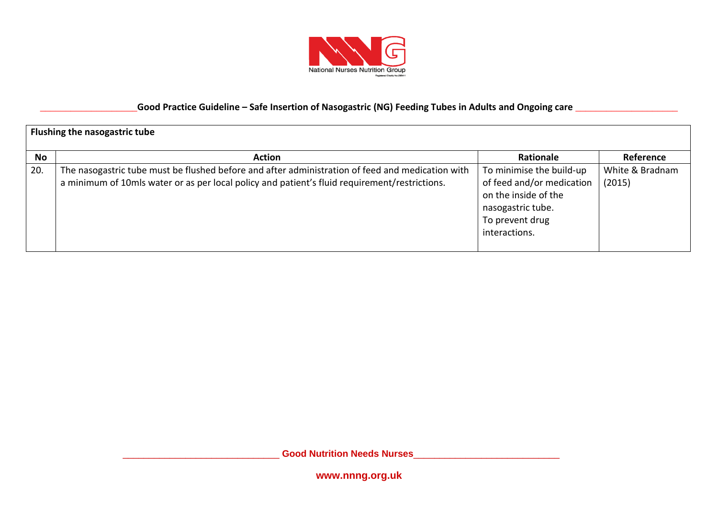

|     | Flushing the nasogastric tube                                                                                                                                                                     |                                                                                                                                        |                           |  |  |
|-----|---------------------------------------------------------------------------------------------------------------------------------------------------------------------------------------------------|----------------------------------------------------------------------------------------------------------------------------------------|---------------------------|--|--|
| No  | <b>Action</b>                                                                                                                                                                                     | Rationale                                                                                                                              | Reference                 |  |  |
| 20. | The nasogastric tube must be flushed before and after administration of feed and medication with<br>a minimum of 10mls water or as per local policy and patient's fluid requirement/restrictions. | To minimise the build-up<br>of feed and/or medication<br>on the inside of the<br>nasogastric tube.<br>To prevent drug<br>interactions. | White & Bradnam<br>(2015) |  |  |

\_\_\_\_\_\_\_\_\_\_\_\_\_\_\_\_\_\_\_\_\_\_\_\_\_\_\_\_\_\_ **Good Nutrition Needs Nurses**\_\_\_\_\_\_\_\_\_\_\_\_\_\_\_\_\_\_\_\_\_\_\_\_\_\_\_\_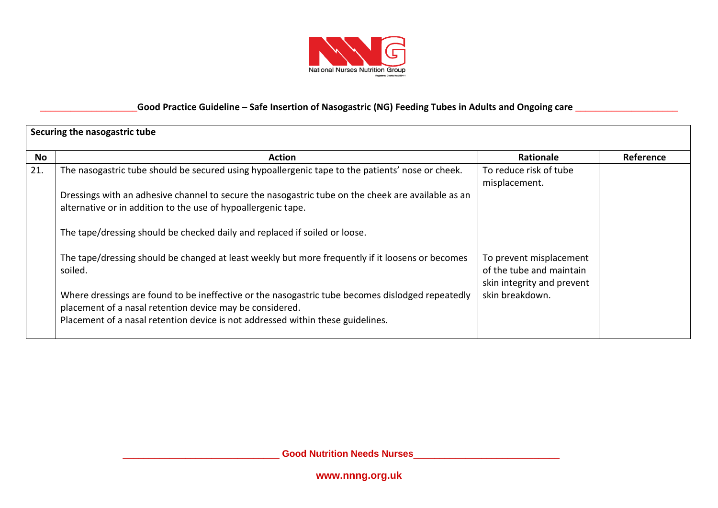

|     | Securing the nasogastric tube                                                                                                                                                                                                                   |                                                                                   |           |  |  |
|-----|-------------------------------------------------------------------------------------------------------------------------------------------------------------------------------------------------------------------------------------------------|-----------------------------------------------------------------------------------|-----------|--|--|
| No  | <b>Action</b>                                                                                                                                                                                                                                   | <b>Rationale</b>                                                                  | Reference |  |  |
| 21. | The nasogastric tube should be secured using hypoallergenic tape to the patients' nose or cheek.                                                                                                                                                | To reduce risk of tube<br>misplacement.                                           |           |  |  |
|     | Dressings with an adhesive channel to secure the nasogastric tube on the cheek are available as an<br>alternative or in addition to the use of hypoallergenic tape.                                                                             |                                                                                   |           |  |  |
|     | The tape/dressing should be checked daily and replaced if soiled or loose.                                                                                                                                                                      |                                                                                   |           |  |  |
|     | The tape/dressing should be changed at least weekly but more frequently if it loosens or becomes<br>soiled.                                                                                                                                     | To prevent misplacement<br>of the tube and maintain<br>skin integrity and prevent |           |  |  |
|     | Where dressings are found to be ineffective or the nasogastric tube becomes dislodged repeatedly<br>placement of a nasal retention device may be considered.<br>Placement of a nasal retention device is not addressed within these guidelines. | skin breakdown.                                                                   |           |  |  |

\_\_\_\_\_\_\_\_\_\_\_\_\_\_\_\_\_\_\_\_\_\_\_\_\_\_\_\_\_\_ **Good Nutrition Needs Nurses**\_\_\_\_\_\_\_\_\_\_\_\_\_\_\_\_\_\_\_\_\_\_\_\_\_\_\_\_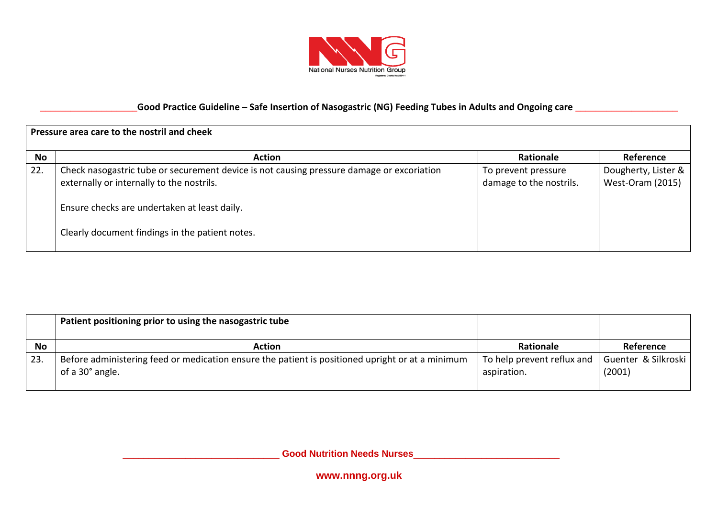

| Pressure area care to the nostril and cheek |                                                                                                                                                                                                                                           |                                                |                                                |  |
|---------------------------------------------|-------------------------------------------------------------------------------------------------------------------------------------------------------------------------------------------------------------------------------------------|------------------------------------------------|------------------------------------------------|--|
| <b>No</b>                                   | <b>Action</b>                                                                                                                                                                                                                             | Rationale                                      | Reference                                      |  |
| 22.                                         | Check nasogastric tube or securement device is not causing pressure damage or excoriation<br>externally or internally to the nostrils.<br>Ensure checks are undertaken at least daily.<br>Clearly document findings in the patient notes. | To prevent pressure<br>damage to the nostrils. | Dougherty, Lister &<br><b>West-Oram (2015)</b> |  |

|           | Patient positioning prior to using the nasogastric tube                                                             |                                           |                               |
|-----------|---------------------------------------------------------------------------------------------------------------------|-------------------------------------------|-------------------------------|
| <b>No</b> | <b>Action</b>                                                                                                       | <b>Rationale</b>                          | Reference                     |
| 23.       | Before administering feed or medication ensure the patient is positioned upright or at a minimum<br>of a 30° angle. | To help prevent reflux and<br>aspiration. | Guenter & Silkroski<br>(2001) |

\_\_\_\_\_\_\_\_\_\_\_\_\_\_\_\_\_\_\_\_\_\_\_\_\_\_\_\_\_\_ **Good Nutrition Needs Nurses**\_\_\_\_\_\_\_\_\_\_\_\_\_\_\_\_\_\_\_\_\_\_\_\_\_\_\_\_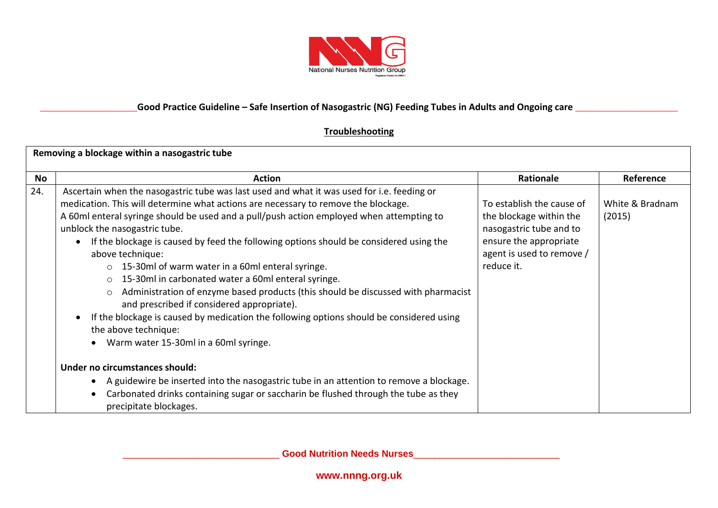

#### **Troubleshooting**

| Removing a blockage within a nasogastric tube |                                                                                                                                                                                                                                                                                                                                                                                                                                                                                                                                                                                                                                                                                                                                                                                                                                                                                                                                                                                                                                                                                                                                                           |                                                                                                                                                      |                           |  |
|-----------------------------------------------|-----------------------------------------------------------------------------------------------------------------------------------------------------------------------------------------------------------------------------------------------------------------------------------------------------------------------------------------------------------------------------------------------------------------------------------------------------------------------------------------------------------------------------------------------------------------------------------------------------------------------------------------------------------------------------------------------------------------------------------------------------------------------------------------------------------------------------------------------------------------------------------------------------------------------------------------------------------------------------------------------------------------------------------------------------------------------------------------------------------------------------------------------------------|------------------------------------------------------------------------------------------------------------------------------------------------------|---------------------------|--|
| No                                            | <b>Action</b>                                                                                                                                                                                                                                                                                                                                                                                                                                                                                                                                                                                                                                                                                                                                                                                                                                                                                                                                                                                                                                                                                                                                             | <b>Rationale</b>                                                                                                                                     | Reference                 |  |
| 24.                                           | Ascertain when the nasogastric tube was last used and what it was used for i.e. feeding or<br>medication. This will determine what actions are necessary to remove the blockage.<br>A 60ml enteral syringe should be used and a pull/push action employed when attempting to<br>unblock the nasogastric tube.<br>If the blockage is caused by feed the following options should be considered using the<br>$\bullet$<br>above technique:<br>$\circ$ 15-30ml of warm water in a 60ml enteral syringe.<br>15-30ml in carbonated water a 60ml enteral syringe.<br>$\circ$<br>Administration of enzyme based products (this should be discussed with pharmacist<br>$\circ$<br>and prescribed if considered appropriate).<br>If the blockage is caused by medication the following options should be considered using<br>$\bullet$<br>the above technique:<br>Warm water 15-30ml in a 60ml syringe.<br>Under no circumstances should:<br>A guidewire be inserted into the nasogastric tube in an attention to remove a blockage.<br>$\bullet$<br>Carbonated drinks containing sugar or saccharin be flushed through the tube as they<br>precipitate blockages. | To establish the cause of<br>the blockage within the<br>nasogastric tube and to<br>ensure the appropriate<br>agent is used to remove /<br>reduce it. | White & Bradnam<br>(2015) |  |

\_\_\_\_\_\_\_\_\_\_\_\_\_\_\_\_\_\_\_\_\_\_\_\_\_\_\_\_\_\_ **Good Nutrition Needs Nurses**\_\_\_\_\_\_\_\_\_\_\_\_\_\_\_\_\_\_\_\_\_\_\_\_\_\_\_\_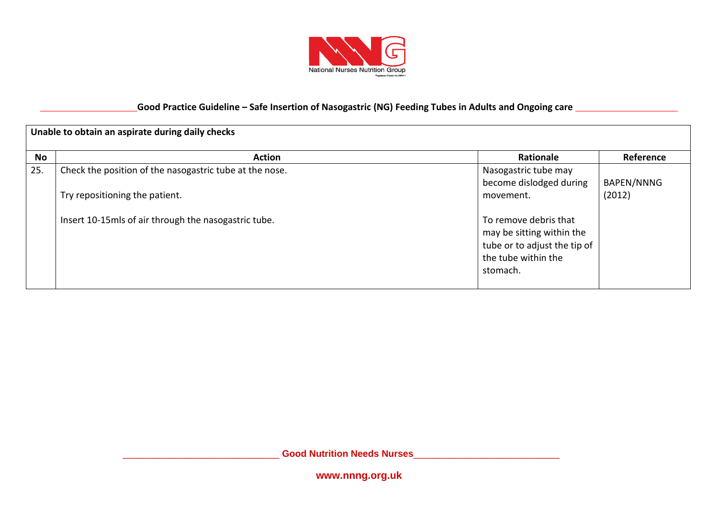

| Unable to obtain an aspirate during daily checks |                                                                                           |                                                                                                                       |                      |  |
|--------------------------------------------------|-------------------------------------------------------------------------------------------|-----------------------------------------------------------------------------------------------------------------------|----------------------|--|
| No                                               | <b>Action</b>                                                                             | <b>Rationale</b>                                                                                                      | Reference            |  |
| 25.                                              | Check the position of the nasogastric tube at the nose.<br>Try repositioning the patient. | Nasogastric tube may<br>become dislodged during<br>movement.                                                          | BAPEN/NNNG<br>(2012) |  |
|                                                  | Insert 10-15mls of air through the nasogastric tube.                                      | To remove debris that<br>may be sitting within the<br>tube or to adjust the tip of<br>the tube within the<br>stomach. |                      |  |

\_\_\_\_\_\_\_\_\_\_\_\_\_\_\_\_\_\_\_\_\_\_\_\_\_\_\_\_\_\_ **Good Nutrition Needs Nurses**\_\_\_\_\_\_\_\_\_\_\_\_\_\_\_\_\_\_\_\_\_\_\_\_\_\_\_\_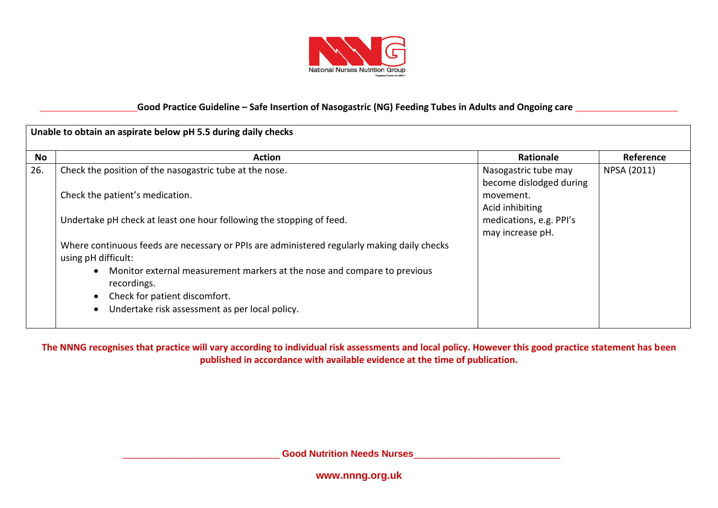

| Unable to obtain an aspirate below pH 5.5 during daily checks |                                                                                                                    |                                                 |             |
|---------------------------------------------------------------|--------------------------------------------------------------------------------------------------------------------|-------------------------------------------------|-------------|
| No                                                            | <b>Action</b>                                                                                                      | Rationale                                       | Reference   |
| 26.                                                           | Check the position of the nasogastric tube at the nose.                                                            | Nasogastric tube may<br>become dislodged during | NPSA (2011) |
|                                                               | Check the patient's medication.                                                                                    | movement.<br>Acid inhibiting                    |             |
|                                                               | Undertake pH check at least one hour following the stopping of feed.                                               | medications, e.g. PPI's<br>may increase pH.     |             |
|                                                               | Where continuous feeds are necessary or PPIs are administered regularly making daily checks<br>using pH difficult: |                                                 |             |
|                                                               | Monitor external measurement markers at the nose and compare to previous<br>$\bullet$<br>recordings.               |                                                 |             |
|                                                               | Check for patient discomfort.<br>$\bullet$                                                                         |                                                 |             |
|                                                               | Undertake risk assessment as per local policy.<br>$\bullet$                                                        |                                                 |             |

**The NNNG recognises that practice will vary according to individual risk assessments and local policy. However this good practice statement has been published in accordance with available evidence at the time of publication.**

\_\_\_\_\_\_\_\_\_\_\_\_\_\_\_\_\_\_\_\_\_\_\_\_\_\_\_\_\_\_ **Good Nutrition Needs Nurses**\_\_\_\_\_\_\_\_\_\_\_\_\_\_\_\_\_\_\_\_\_\_\_\_\_\_\_\_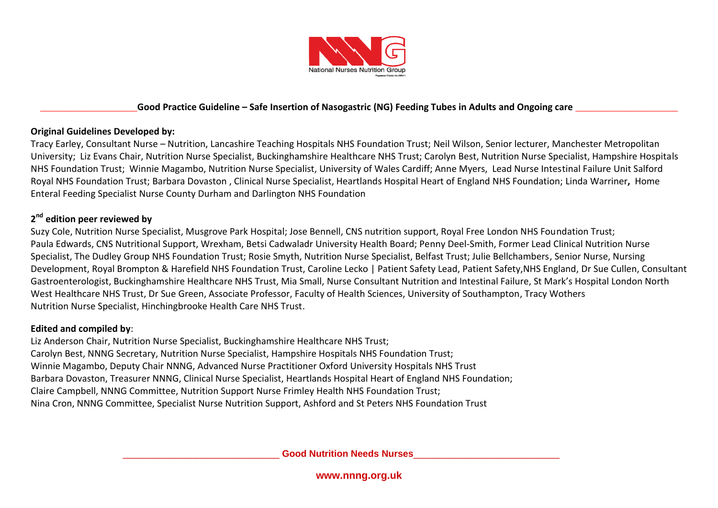

#### **Original Guidelines Developed by:**

Tracy Earley, Consultant Nurse – Nutrition, Lancashire Teaching Hospitals NHS Foundation Trust; Neil Wilson, Senior lecturer, Manchester Metropolitan University; Liz Evans Chair, Nutrition Nurse Specialist, Buckinghamshire Healthcare NHS Trust; Carolyn Best, Nutrition Nurse Specialist, Hampshire Hospitals NHS Foundation Trust; Winnie Magambo, Nutrition Nurse Specialist, University of Wales Cardiff; Anne Myers, Lead Nurse Intestinal Failure Unit Salford Royal NHS Foundation Trust; Barbara Dovaston , Clinical Nurse Specialist, Heartlands Hospital Heart of England NHS Foundation; Linda Warriner**,** Home Enteral Feeding Specialist Nurse County Durham and Darlington NHS Foundation

## **2 nd edition peer reviewed by**

Suzy Cole, Nutrition Nurse Specialist, Musgrove Park Hospital; Jose Bennell, CNS nutrition support, Royal Free London NHS Foundation Trust; Paula Edwards, CNS Nutritional Support, Wrexham, Betsi Cadwaladr University Health Board; Penny Deel-Smith, Former Lead Clinical Nutrition Nurse Specialist, The Dudley Group NHS Foundation Trust; Rosie Smyth, Nutrition Nurse Specialist, Belfast Trust; Julie Bellchambers, Senior Nurse, Nursing Development, Royal Brompton & Harefield NHS Foundation Trust, Caroline Lecko | Patient Safety Lead, Patient Safety,NHS England, Dr Sue Cullen, Consultant Gastroenterologist, Buckinghamshire Healthcare NHS Trust, Mia Small, Nurse Consultant Nutrition and Intestinal Failure, St Mark's Hospital London North West Healthcare NHS Trust, Dr Sue Green, Associate Professor, Faculty of Health Sciences, University of Southampton, Tracy Wothers Nutrition Nurse Specialist, Hinchingbrooke Health Care NHS Trust.

#### **Edited and compiled by**:

Liz Anderson Chair, Nutrition Nurse Specialist, Buckinghamshire Healthcare NHS Trust; Carolyn Best, NNNG Secretary, Nutrition Nurse Specialist, Hampshire Hospitals NHS Foundation Trust; Winnie Magambo, Deputy Chair NNNG, Advanced Nurse Practitioner Oxford University Hospitals NHS Trust Barbara Dovaston, Treasurer NNNG, Clinical Nurse Specialist, Heartlands Hospital Heart of England NHS Foundation; Claire Campbell, NNNG Committee, Nutrition Support Nurse Frimley Health NHS Foundation Trust; Nina Cron, NNNG Committee, Specialist Nurse Nutrition Support, Ashford and St Peters NHS Foundation Trust

\_\_\_\_\_\_\_\_\_\_\_\_\_\_\_\_\_\_\_\_\_\_\_\_\_\_\_\_\_\_ **Good Nutrition Needs Nurses**\_\_\_\_\_\_\_\_\_\_\_\_\_\_\_\_\_\_\_\_\_\_\_\_\_\_\_\_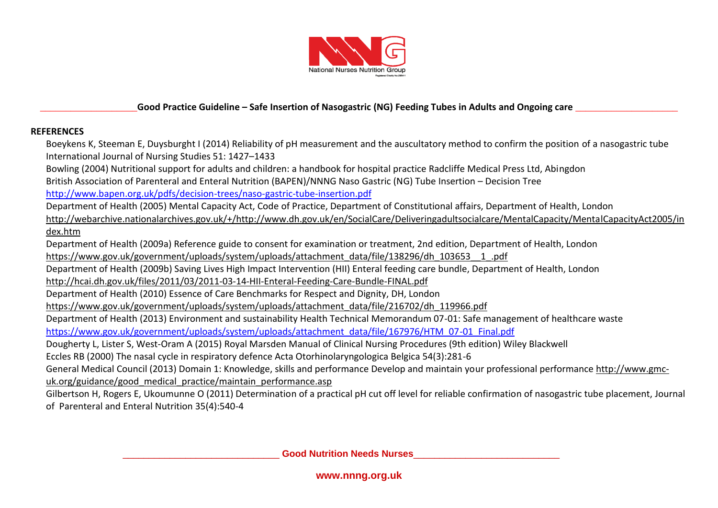

#### **REFERENCES**

Boeykens K, Steeman E, Duysburght I (2014) Reliability of pH measurement and the auscultatory method to confirm the position of a nasogastric tube International Journal of Nursing Studies 51: 1427–1433

Bowling (2004) Nutritional support for adults and children: a handbook for hospital practice Radcliffe Medical Press Ltd, Abingdon British Association of Parenteral and Enteral Nutrition (BAPEN)/NNNG Naso Gastric (NG) Tube Insertion – Decision Tree <http://www.bapen.org.uk/pdfs/decision-trees/naso-gastric-tube-insertion.pdf>

Department of Health (2005) Mental Capacity Act, Code of Practice, Department of Constitutional affairs, Department of Health, London

[http://webarchive.nationalarchives.gov.uk/+/http://www.dh.gov.uk/en/SocialCare/Deliveringadultsocialcare/MentalCapacity/MentalCapacityAct2005/in](http://webarchive.nationalarchives.gov.uk/+/http:/www.dh.gov.uk/en/SocialCare/Deliveringadultsocialcare/MentalCapacity/MentalCapacityAct2005/index.htm) [dex.htm](http://webarchive.nationalarchives.gov.uk/+/http:/www.dh.gov.uk/en/SocialCare/Deliveringadultsocialcare/MentalCapacity/MentalCapacityAct2005/index.htm)

Department of Health (2009a) Reference guide to consent for examination or treatment, 2nd edition, Department of Health, London [https://www.gov.uk/government/uploads/system/uploads/attachment\\_data/file/138296/dh\\_103653\\_\\_1\\_.pdf](https://www.gov.uk/government/uploads/system/uploads/attachment_data/file/138296/dh_103653__1_.pdf)

Department of Health (2009b) Saving Lives High Impact Intervention (HII) Enteral feeding care bundle, Department of Health, London <http://hcai.dh.gov.uk/files/2011/03/2011-03-14-HII-Enteral-Feeding-Care-Bundle-FINAL.pdf>

Department of Health (2010) Essence of Care Benchmarks for Respect and Dignity, DH, London

[https://www.gov.uk/government/uploads/system/uploads/attachment\\_data/file/216702/dh\\_119966.pdf](https://www.gov.uk/government/uploads/system/uploads/attachment_data/file/216702/dh_119966.pdf)

Department of Health (2013) Environment and sustainability Health Technical Memorandum 07-01: Safe management of healthcare waste [https://www.gov.uk/government/uploads/system/uploads/attachment\\_data/file/167976/HTM\\_07-01\\_Final.pdf](https://www.gov.uk/government/uploads/system/uploads/attachment_data/file/167976/HTM_07-01_Final.pdf)

Dougherty L, Lister S, West-Oram A (2015) Royal Marsden Manual of Clinical Nursing Procedures (9th edition) Wiley Blackwell

Eccles RB (2000) The nasal cycle in respiratory defence Acta Otorhinolaryngologica Belgica 54(3):281-6

General Medical Council (2013) Domain 1: Knowledge, skills and performance Develop and maintain your professional performanc[e http://www.gmc](http://www.gmc-uk.org/guidance/good_medical_practice/maintain_performance.asp)[uk.org/guidance/good\\_medical\\_practice/maintain\\_performance.asp](http://www.gmc-uk.org/guidance/good_medical_practice/maintain_performance.asp)

Gilbertson H, Rogers E, Ukoumunne O (2011) Determination of a practical pH cut off level for reliable confirmation of nasogastric tube placement, Journal of Parenteral and Enteral Nutrition 35(4):540-4

\_\_\_\_\_\_\_\_\_\_\_\_\_\_\_\_\_\_\_\_\_\_\_\_\_\_\_\_\_\_ **Good Nutrition Needs Nurses**\_\_\_\_\_\_\_\_\_\_\_\_\_\_\_\_\_\_\_\_\_\_\_\_\_\_\_\_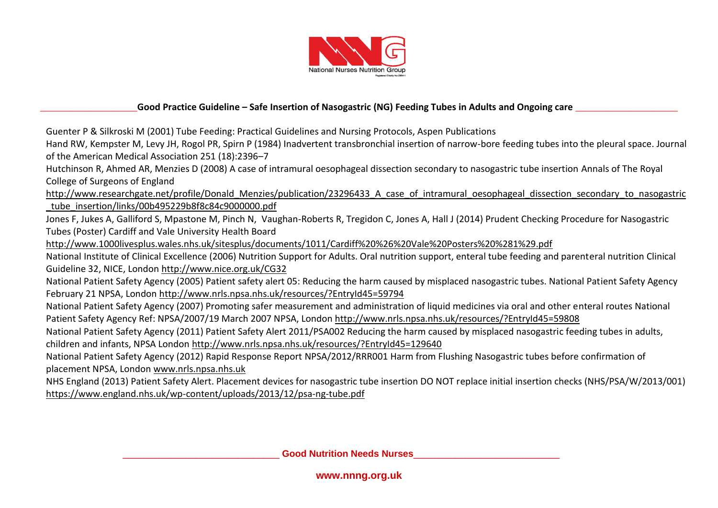

Guenter P & Silkroski M (2001) Tube Feeding: Practical Guidelines and Nursing Protocols, Aspen Publications

Hand RW, Kempster M, Levy JH, Rogol PR, Spirn P (1984) Inadvertent transbronchial insertion of narrow-bore feeding tubes into the pleural space. Journal of the American Medical Association 251 (18):2396–7

Hutchinson R, Ahmed AR, Menzies D (2008) A case of intramural oesophageal dissection secondary to nasogastric tube insertion Annals of The Royal College of Surgeons of England

[http://www.researchgate.net/profile/Donald\\_Menzies/publication/23296433\\_A\\_case\\_of\\_intramural\\_oesophageal\\_dissection\\_secondary\\_to\\_nasogastric](http://www.researchgate.net/profile/Donald_Menzies/publication/23296433_A_case_of_intramural_oesophageal_dissection_secondary_to_nasogastric_tube_insertion/links/00b495229b8f8c84c9000000.pdf) [\\_tube\\_insertion/links/00b495229b8f8c84c9000000.pdf](http://www.researchgate.net/profile/Donald_Menzies/publication/23296433_A_case_of_intramural_oesophageal_dissection_secondary_to_nasogastric_tube_insertion/links/00b495229b8f8c84c9000000.pdf) 

Jones F, Jukes A, Galliford S, Mpastone M, Pinch N, Vaughan-Roberts R, Tregidon C, Jones A, Hall J (2014) Prudent Checking Procedure for Nasogastric Tubes (Poster) Cardiff and Vale University Health Board

<http://www.1000livesplus.wales.nhs.uk/sitesplus/documents/1011/Cardiff%20%26%20Vale%20Posters%20%281%29.pdf>

National Institute of Clinical Excellence (2006) Nutrition Support for Adults. Oral nutrition support, enteral tube feeding and parenteral nutrition Clinical Guideline 32, NICE, London<http://www.nice.org.uk/CG32>

National Patient Safety Agency (2005) Patient safety alert 05: Reducing the harm caused by misplaced nasogastric tubes. National Patient Safety Agency February 21 NPSA, London<http://www.nrls.npsa.nhs.uk/resources/?EntryId45=59794>

National Patient Safety Agency (2007) Promoting safer measurement and administration of liquid medicines via oral and other enteral routes National Patient Safety Agency Ref: NPSA/2007/19 March 2007 NPSA, London<http://www.nrls.npsa.nhs.uk/resources/?EntryId45=59808>

National Patient Safety Agency (2011) Patient Safety Alert 2011/PSA002 Reducing the harm caused by misplaced nasogastric feeding tubes in adults, children and infants, NPSA London<http://www.nrls.npsa.nhs.uk/resources/?EntryId45=129640>

National Patient Safety Agency (2012) Rapid Response Report NPSA/2012/RRR001 Harm from Flushing Nasogastric tubes before confirmation of placement NPSA, London [www.nrls.npsa.nhs.uk](http://www.nrls.npsa.nhs.uk/)

NHS England (2013) Patient Safety Alert. Placement devices for nasogastric tube insertion DO NOT replace initial insertion checks (NHS/PSA/W/2013/001) https://www.england.nhs.uk/wp-content/uploads/2013/12/psa-ng-tube.pdf

\_\_\_\_\_\_\_\_\_\_\_\_\_\_\_\_\_\_\_\_\_\_\_\_\_\_\_\_\_\_ **Good Nutrition Needs Nurses**\_\_\_\_\_\_\_\_\_\_\_\_\_\_\_\_\_\_\_\_\_\_\_\_\_\_\_\_